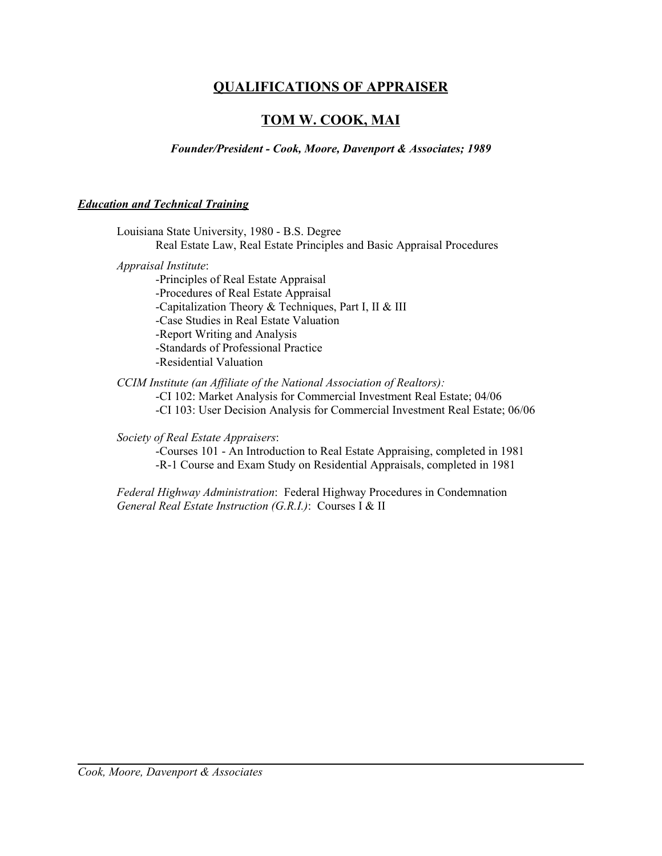# **QUALIFICATIONS OF APPRAISER**

# **TOM W. COOK, MAI**

*Founder/President - Cook, Moore, Davenport & Associates; 1989*

# *Education and Technical Training*

| Louisiana State University, 1980 - B.S. Degree                                                                                                  |
|-------------------------------------------------------------------------------------------------------------------------------------------------|
| Real Estate Law, Real Estate Principles and Basic Appraisal Procedures                                                                          |
| Appraisal Institute:                                                                                                                            |
| -Principles of Real Estate Appraisal                                                                                                            |
| -Procedures of Real Estate Appraisal                                                                                                            |
| -Capitalization Theory & Techniques, Part I, II & III                                                                                           |
| -Case Studies in Real Estate Valuation                                                                                                          |
| -Report Writing and Analysis                                                                                                                    |
| -Standards of Professional Practice                                                                                                             |
| -Residential Valuation                                                                                                                          |
| CCIM Institute (an Affiliate of the National Association of Realtors):<br>-CI 102: Market Analysis for Commercial Investment Real Estate; 04/06 |
| -CI 103: User Decision Analysis for Commercial Investment Real Estate; 06/06                                                                    |

*Society of Real Estate Appraisers*:

-Courses 101 - An Introduction to Real Estate Appraising, completed in 1981 -R-1 Course and Exam Study on Residential Appraisals, completed in 1981

*Federal Highway Administration*: Federal Highway Procedures in Condemnation *General Real Estate Instruction (G.R.I.)*: Courses I & II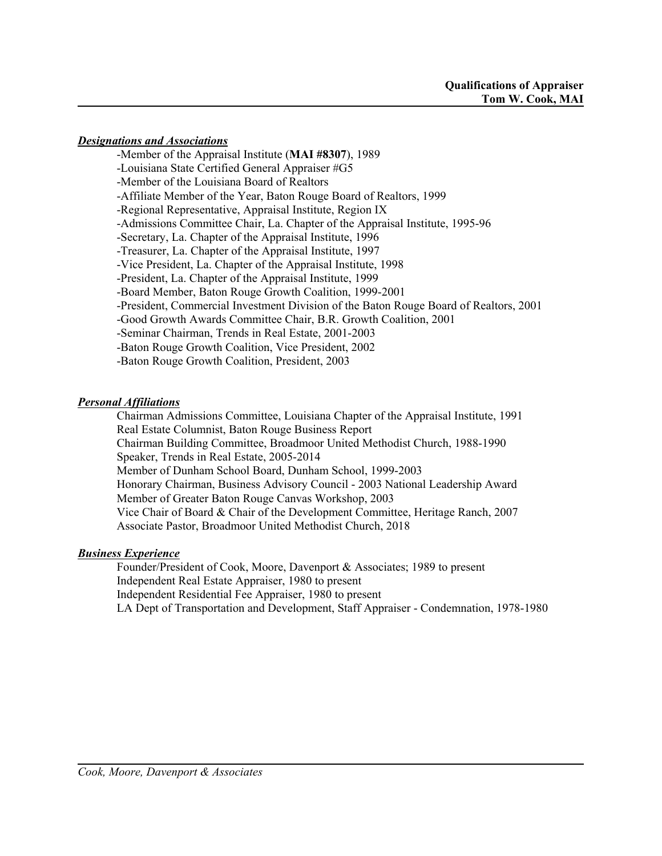# *Designations and Associations*

-Member of the Appraisal Institute (**MAI #8307**), 1989 -Louisiana State Certified General Appraiser #G5 -Member of the Louisiana Board of Realtors -Affiliate Member of the Year, Baton Rouge Board of Realtors, 1999 -Regional Representative, Appraisal Institute, Region IX -Admissions Committee Chair, La. Chapter of the Appraisal Institute, 1995-96 -Secretary, La. Chapter of the Appraisal Institute, 1996 -Treasurer, La. Chapter of the Appraisal Institute, 1997 -Vice President, La. Chapter of the Appraisal Institute, 1998 -President, La. Chapter of the Appraisal Institute, 1999 -Board Member, Baton Rouge Growth Coalition, 1999-2001 -President, Commercial Investment Division of the Baton Rouge Board of Realtors, 2001 -Good Growth Awards Committee Chair, B.R. Growth Coalition, 2001 -Seminar Chairman, Trends in Real Estate, 2001-2003 -Baton Rouge Growth Coalition, Vice President, 2002 -Baton Rouge Growth Coalition, President, 2003

# *Personal Affiliations*

Chairman Admissions Committee, Louisiana Chapter of the Appraisal Institute, 1991 Real Estate Columnist, Baton Rouge Business Report Chairman Building Committee, Broadmoor United Methodist Church, 1988-1990 Speaker, Trends in Real Estate, 2005-2014 Member of Dunham School Board, Dunham School, 1999-2003 Honorary Chairman, Business Advisory Council - 2003 National Leadership Award Member of Greater Baton Rouge Canvas Workshop, 2003 Vice Chair of Board & Chair of the Development Committee, Heritage Ranch, 2007 Associate Pastor, Broadmoor United Methodist Church, 2018

# *Business Experience*

Founder/President of Cook, Moore, Davenport & Associates; 1989 to present Independent Real Estate Appraiser, 1980 to present Independent Residential Fee Appraiser, 1980 to present LA Dept of Transportation and Development, Staff Appraiser - Condemnation, 1978-1980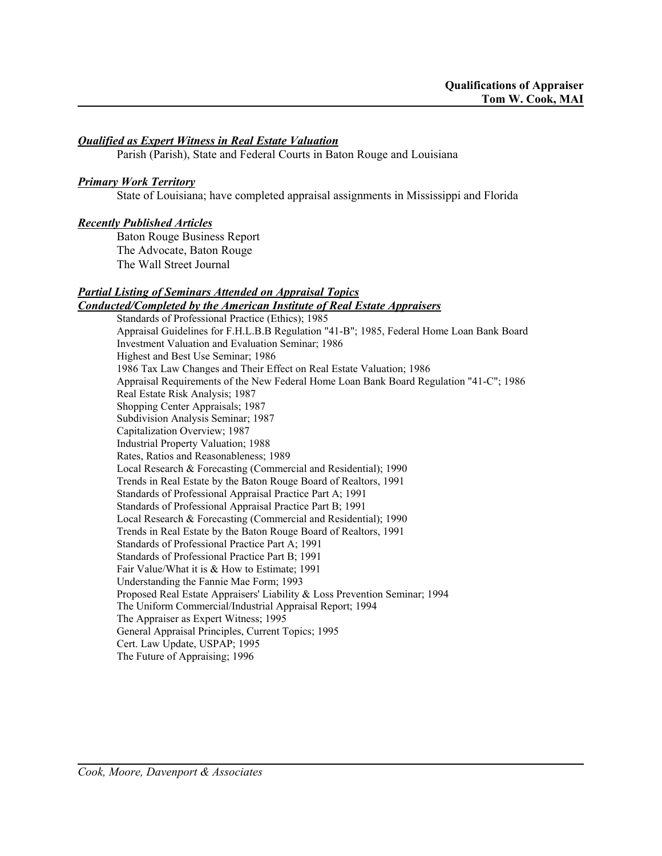# *Qualified as Expert Witness in Real Estate Valuation*

Parish (Parish), State and Federal Courts in Baton Rouge and Louisiana

# *Primary Work Territory*

State of Louisiana; have completed appraisal assignments in Mississippi and Florida

# *Recently Published Articles*

Baton Rouge Business Report The Advocate, Baton Rouge The Wall Street Journal

## *Partial Listing of Seminars Attended on Appraisal Topics Conducted/Completed by the American Institute of Real Estate Appraisers*

Standards of Professional Practice (Ethics); 1985 Appraisal Guidelines for F.H.L.B.B Regulation "41-B"; 1985, Federal Home Loan Bank Board Investment Valuation and Evaluation Seminar; 1986 Highest and Best Use Seminar; 1986 1986 Tax Law Changes and Their Effect on Real Estate Valuation; 1986 Appraisal Requirements of the New Federal Home Loan Bank Board Regulation "41-C"; 1986 Real Estate Risk Analysis; 1987 Shopping Center Appraisals; 1987 Subdivision Analysis Seminar; 1987 Capitalization Overview; 1987 Industrial Property Valuation; 1988 Rates, Ratios and Reasonableness; 1989 Local Research & Forecasting (Commercial and Residential); 1990 Trends in Real Estate by the Baton Rouge Board of Realtors, 1991 Standards of Professional Appraisal Practice Part A; 1991 Standards of Professional Appraisal Practice Part B; 1991 Local Research & Forecasting (Commercial and Residential); 1990 Trends in Real Estate by the Baton Rouge Board of Realtors, 1991 Standards of Professional Practice Part A; 1991 Standards of Professional Practice Part B; 1991 Fair Value/What it is & How to Estimate; 1991 Understanding the Fannie Mae Form; 1993 Proposed Real Estate Appraisers' Liability & Loss Prevention Seminar; 1994 The Uniform Commercial/Industrial Appraisal Report; 1994 The Appraiser as Expert Witness; 1995 General Appraisal Principles, Current Topics; 1995 Cert. Law Update, USPAP; 1995 The Future of Appraising; 1996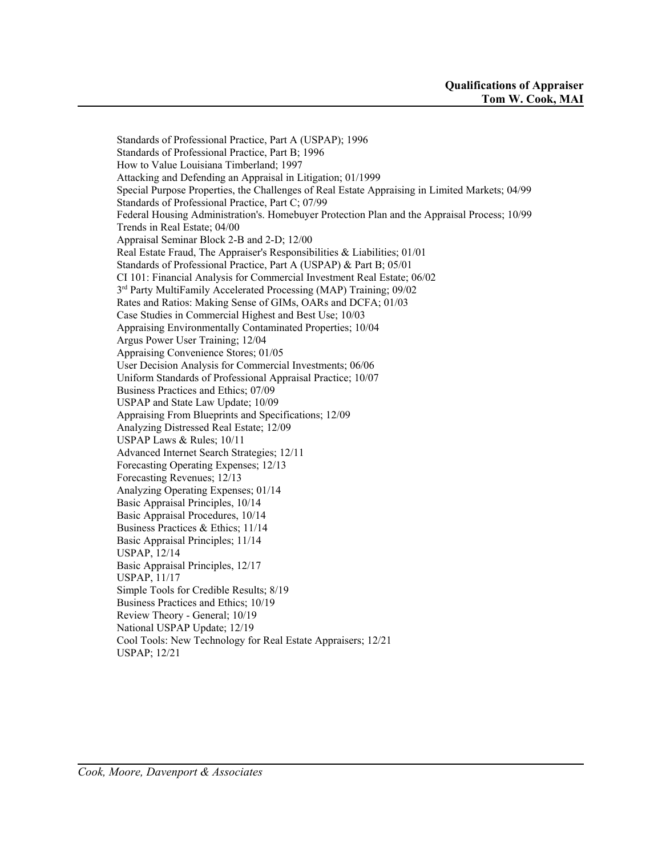Standards of Professional Practice, Part A (USPAP); 1996 Standards of Professional Practice, Part B; 1996 How to Value Louisiana Timberland; 1997 Attacking and Defending an Appraisal in Litigation; 01/1999 Special Purpose Properties, the Challenges of Real Estate Appraising in Limited Markets; 04/99 Standards of Professional Practice, Part C; 07/99 Federal Housing Administration's. Homebuyer Protection Plan and the Appraisal Process; 10/99 Trends in Real Estate; 04/00 Appraisal Seminar Block 2-B and 2-D; 12/00 Real Estate Fraud, The Appraiser's Responsibilities & Liabilities; 01/01 Standards of Professional Practice, Part A (USPAP) & Part B; 05/01 CI 101: Financial Analysis for Commercial Investment Real Estate; 06/02 3<sup>rd</sup> Party MultiFamily Accelerated Processing (MAP) Training; 09/02 Rates and Ratios: Making Sense of GIMs, OARs and DCFA; 01/03 Case Studies in Commercial Highest and Best Use; 10/03 Appraising Environmentally Contaminated Properties; 10/04 Argus Power User Training; 12/04 Appraising Convenience Stores; 01/05 User Decision Analysis for Commercial Investments; 06/06 Uniform Standards of Professional Appraisal Practice; 10/07 Business Practices and Ethics; 07/09 USPAP and State Law Update; 10/09 Appraising From Blueprints and Specifications; 12/09 Analyzing Distressed Real Estate; 12/09 USPAP Laws & Rules; 10/11 Advanced Internet Search Strategies; 12/11 Forecasting Operating Expenses; 12/13 Forecasting Revenues; 12/13 Analyzing Operating Expenses; 01/14 Basic Appraisal Principles, 10/14 Basic Appraisal Procedures, 10/14 Business Practices & Ethics; 11/14 Basic Appraisal Principles; 11/14 USPAP, 12/14 Basic Appraisal Principles, 12/17 USPAP, 11/17 Simple Tools for Credible Results; 8/19 Business Practices and Ethics; 10/19 Review Theory - General; 10/19 National USPAP Update; 12/19 Cool Tools: New Technology for Real Estate Appraisers; 12/21 USPAP; 12/21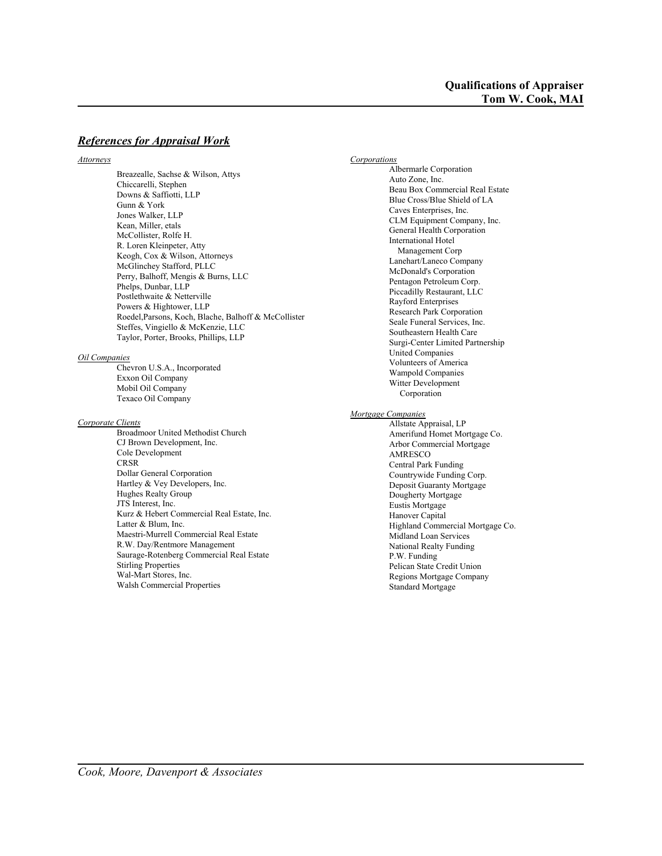## *References for Appraisal Work*

#### *Attorneys*

Breazealle, Sachse & Wilson, Attys Chiccarelli, Stephen Downs & Saffiotti, LLP Gunn & York Jones Walker, LLP Kean, Miller, etals McCollister, Rolfe H. R. Loren Kleinpeter, Atty Keogh, Cox & Wilson, Attorneys McGlinchey Stafford, PLLC Perry, Balhoff, Mengis & Burns, LLC Phelps, Dunbar, LLP Postlethwaite & Netterville Powers & Hightower, LLP Roedel,Parsons, Koch, Blache, Balhoff & McCollister Steffes, Vingiello & McKenzie, LLC Taylor, Porter, Brooks, Phillips, LLP

#### *Oil Companies*

Chevron U.S.A., Incorporated Exxon Oil Company Mobil Oil Company Texaco Oil Company

### *Corporate Clients*

Broadmoor United Methodist Church CJ Brown Development, Inc. Cole Development CRSR Dollar General Corporation Hartley & Vey Developers, Inc. Hughes Realty Group JTS Interest, Inc. Kurz & Hebert Commercial Real Estate, Inc. Latter & Blum, Inc. Maestri-Murrell Commercial Real Estate R.W. Day/Rentmore Management Saurage-Rotenberg Commercial Real Estate Stirling Properties Wal-Mart Stores, Inc. Walsh Commercial Properties

*Corporations* Albermarle Corporation Auto Zone, Inc. Beau Box Commercial Real Estate Blue Cross/Blue Shield of LA Caves Enterprises, Inc. CLM Equipment Company, Inc. General Health Corporation International Hotel Management Corp Lanehart/Laneco Company McDonald's Corporation Pentagon Petroleum Corp. Piccadilly Restaurant, LLC Rayford Enterprises Research Park Corporation Seale Funeral Services, Inc. Southeastern Health Care Surgi-Center Limited Partnership United Companies Volunteers of America Wampold Companies Witter Development Corporation *Mortgage Companies* Allstate Appraisal, LP Amerifund Homet Mortgage Co. Arbor Commercial Mortgage AMRESCO Central Park Funding Countrywide Funding Corp. Deposit Guaranty Mortgage Dougherty Mortgage Eustis Mortgage Hanover Capital Highland Commercial Mortgage Co. Midland Loan Services National Realty Funding P.W. Funding Pelican State Credit Union Regions Mortgage Company Standard Mortgage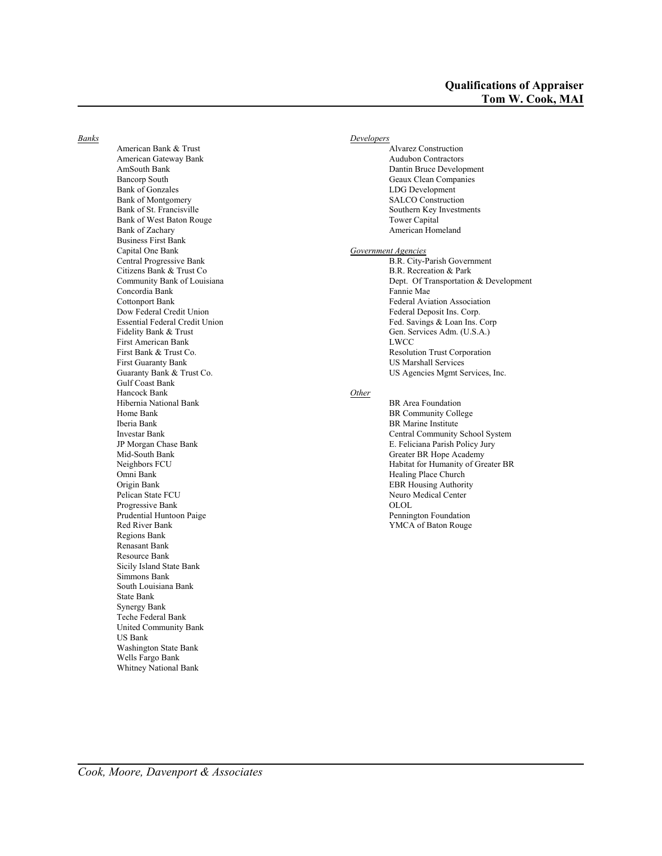*Banks*

American Bank & Trust American Gateway Bank AmSouth Bank Bancorp South Bank of Gonzales Bank of Montgomery Bank of St. Francisville Bank of West Baton Rouge Bank of Zachary Business First Bank Capital One Bank Central Progressive Bank Citizens Bank & Trust Co Community Bank of Louisiana Concordia Bank Cottonport Bank Dow Federal Credit Union Essential Federal Credit Union Fidelity Bank & Trust First American Bank First Bank & Trust Co. First Guaranty Bank Guaranty Bank & Trust Co. Gulf Coast Bank Hancock Bank Hibernia National Bank Home Bank Iberia Bank Investar Bank JP Morgan Chase Bank Mid-South Bank Neighbors FCU Omni Bank Origin Bank Pelican State FCU Progressive Bank Prudential Huntoon Paige Red River Bank Regions Bank Renasant Bank Resource Bank Sicily Island State Bank Simmons Bank South Louisiana Bank State Bank Synergy Bank Teche Federal Bank United Community Bank US Bank Washington State Bank Wells Fargo Bank Whitney National Bank

### *Developers* Alvarez Construction Audubon Contractors Dantin Bruce Development Geaux Clean Companies LDG Development SALCO Construction Southern Key Investments Tower Capital American Homeland *Government Agencies* B.R. City-Parish Government B.R. Recreation & Park Dept. Of Transportation & Development Fannie Mae Federal Aviation Association Federal Deposit Ins. Corp. Fed. Savings & Loan Ins. Corp Gen. Services Adm. (U.S.A.) LWCC Resolution Trust Corporation US Marshall Services US Agencies Mgmt Services, Inc. *Other* BR Area Foundation

BR Community College BR Marine Institute Central Community School System E. Feliciana Parish Policy Jury Greater BR Hope Academy Habitat for Humanity of Greater BR Healing Place Church EBR Housing Authority Neuro Medical Center OLOL Pennington Foundation YMCA of Baton Rouge

*Cook, Moore, Davenport & Associates*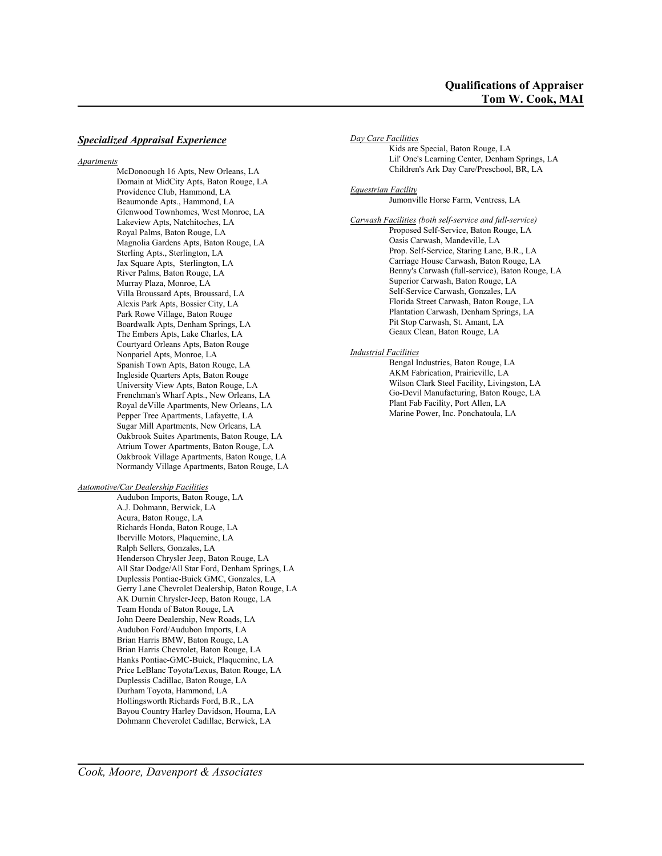### *Specialized Appraisal Experience*

#### *Apartments*

McDonoough 16 Apts, New Orleans, LA Domain at MidCity Apts, Baton Rouge, LA Providence Club, Hammond, LA Beaumonde Apts., Hammond, LA Glenwood Townhomes, West Monroe, LA Lakeview Apts, Natchitoches, LA Royal Palms, Baton Rouge, LA Magnolia Gardens Apts, Baton Rouge, LA Sterling Apts., Sterlington, LA Jax Square Apts, Sterlington, LA River Palms, Baton Rouge, LA Murray Plaza, Monroe, LA Villa Broussard Apts, Broussard, LA Alexis Park Apts, Bossier City, LA Park Rowe Village, Baton Rouge Boardwalk Apts, Denham Springs, LA The Embers Apts, Lake Charles, LA Courtyard Orleans Apts, Baton Rouge Nonpariel Apts, Monroe, LA Spanish Town Apts, Baton Rouge, LA Ingleside Quarters Apts, Baton Rouge University View Apts, Baton Rouge, LA Frenchman's Wharf Apts., New Orleans, LA Royal deVille Apartments, New Orleans, LA Pepper Tree Apartments, Lafayette, LA Sugar Mill Apartments, New Orleans, LA Oakbrook Suites Apartments, Baton Rouge, LA Atrium Tower Apartments, Baton Rouge, LA Oakbrook Village Apartments, Baton Rouge, LA Normandy Village Apartments, Baton Rouge, LA

#### *Automotive/Car Dealership Facilities*

Audubon Imports, Baton Rouge, LA A.J. Dohmann, Berwick, LA Acura, Baton Rouge, LA Richards Honda, Baton Rouge, LA Iberville Motors, Plaquemine, LA Ralph Sellers, Gonzales, LA Henderson Chrysler Jeep, Baton Rouge, LA All Star Dodge/All Star Ford, Denham Springs, LA Duplessis Pontiac-Buick GMC, Gonzales, LA Gerry Lane Chevrolet Dealership, Baton Rouge, LA AK Durnin Chrysler-Jeep, Baton Rouge, LA Team Honda of Baton Rouge, LA John Deere Dealership, New Roads, LA Audubon Ford/Audubon Imports, LA Brian Harris BMW, Baton Rouge, LA Brian Harris Chevrolet, Baton Rouge, LA Hanks Pontiac-GMC-Buick, Plaquemine, LA Price LeBlanc Toyota/Lexus, Baton Rouge, LA Duplessis Cadillac, Baton Rouge, LA Durham Toyota, Hammond, LA Hollingsworth Richards Ford, B.R., LA Bayou Country Harley Davidson, Houma, LA Dohmann Cheverolet Cadillac, Berwick, LA

*Day Care Facilities* Kids are Special, Baton Rouge, LA Lil' One's Learning Center, Denham Springs, LA Children's Ark Day Care/Preschool, BR, LA *Equestrian Facility* Jumonville Horse Farm, Ventress, LA *Carwash Facilities (both self-service and full-service)* Proposed Self-Service, Baton Rouge, LA Oasis Carwash, Mandeville, LA Prop. Self-Service, Staring Lane, B.R., LA Carriage House Carwash, Baton Rouge, LA Benny's Carwash (full-service), Baton Rouge, LA Superior Carwash, Baton Rouge, LA Self-Service Carwash, Gonzales, LA Florida Street Carwash, Baton Rouge, LA Plantation Carwash, Denham Springs, LA Pit Stop Carwash, St. Amant, LA Geaux Clean, Baton Rouge, LA

### *Industrial Facilities*

Bengal Industries, Baton Rouge, LA AKM Fabrication, Prairieville, LA Wilson Clark Steel Facility, Livingston, LA Go-Devil Manufacturing, Baton Rouge, LA Plant Fab Facility, Port Allen, LA Marine Power, Inc. Ponchatoula, LA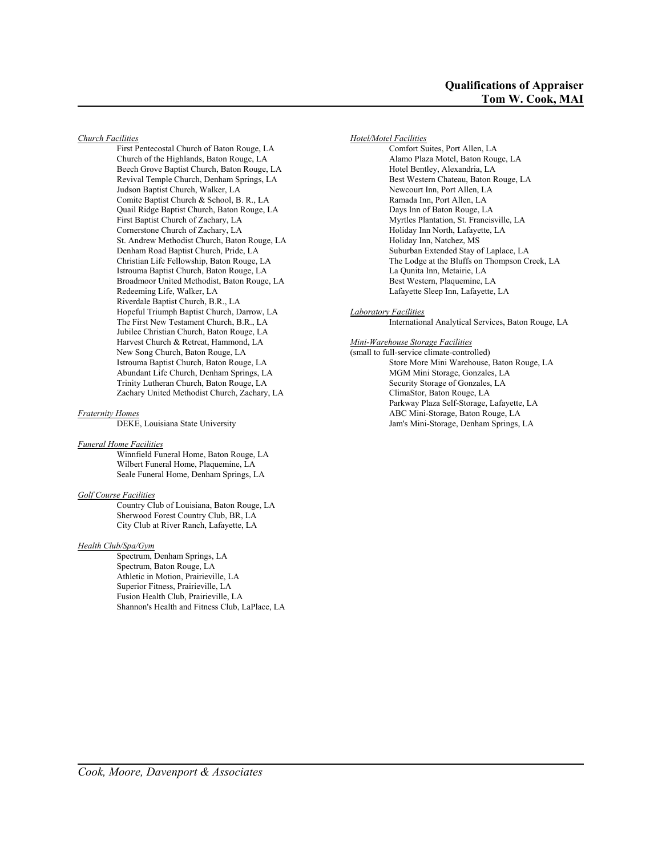*Church Facilities*

First Pentecostal Church of Baton Rouge, LA Church of the Highlands, Baton Rouge, LA Beech Grove Baptist Church, Baton Rouge, LA Revival Temple Church, Denham Springs, LA Judson Baptist Church, Walker, LA Comite Baptist Church & School, B. R., LA Quail Ridge Baptist Church, Baton Rouge, LA First Baptist Church of Zachary, LA Cornerstone Church of Zachary, LA St. Andrew Methodist Church, Baton Rouge, LA Denham Road Baptist Church, Pride, LA Christian Life Fellowship, Baton Rouge, LA Istrouma Baptist Church, Baton Rouge, LA Broadmoor United Methodist, Baton Rouge, LA Redeeming Life, Walker, LA Riverdale Baptist Church, B.R., LA Hopeful Triumph Baptist Church, Darrow, LA The First New Testament Church, B.R., LA Jubilee Christian Church, Baton Rouge, LA Harvest Church & Retreat, Hammond, LA New Song Church, Baton Rouge, LA Istrouma Baptist Church, Baton Rouge, LA Abundant Life Church, Denham Springs, LA Trinity Lutheran Church, Baton Rouge, LA Zachary United Methodist Church, Zachary, LA

#### *Fraternity Homes*

DEKE, Louisiana State University

#### *Funeral Home Facilities*

Winnfield Funeral Home, Baton Rouge, LA Wilbert Funeral Home, Plaquemine, LA Seale Funeral Home, Denham Springs, LA

#### *Golf Course Facilities*

Country Club of Louisiana, Baton Rouge, LA Sherwood Forest Country Club, BR, LA City Club at River Ranch, Lafayette, LA

#### *Health Club/Spa/Gym*

Spectrum, Denham Springs, LA Spectrum, Baton Rouge, LA Athletic in Motion, Prairieville, LA Superior Fitness, Prairieville, LA Fusion Health Club, Prairieville, LA Shannon's Health and Fitness Club, LaPlace, LA *Hotel/Motel Facilities* Comfort Suites, Port Allen, LA Alamo Plaza Motel, Baton Rouge, LA Hotel Bentley, Alexandria, LA Best Western Chateau, Baton Rouge, LA Newcourt Inn, Port Allen, LA Ramada Inn, Port Allen, LA Days Inn of Baton Rouge, LA Myrtles Plantation, St. Francisville, LA Holiday Inn North, Lafayette, LA Holiday Inn, Natchez, MS Suburban Extended Stay of Laplace, LA The Lodge at the Bluffs on Thompson Creek, LA La Qunita Inn, Metairie, LA Best Western, Plaquemine, LA Lafayette Sleep Inn, Lafayette, LA

*Laboratory Facilities*

International Analytical Services, Baton Rouge, LA

*Mini-Warehouse Storage Facilities*

(small to full-service climate-controlled) Store More Mini Warehouse, Baton Rouge, LA MGM Mini Storage, Gonzales, LA Security Storage of Gonzales, LA ClimaStor, Baton Rouge, LA Parkway Plaza Self-Storage, Lafayette, LA ABC Mini-Storage, Baton Rouge, LA Jam's Mini-Storage, Denham Springs, LA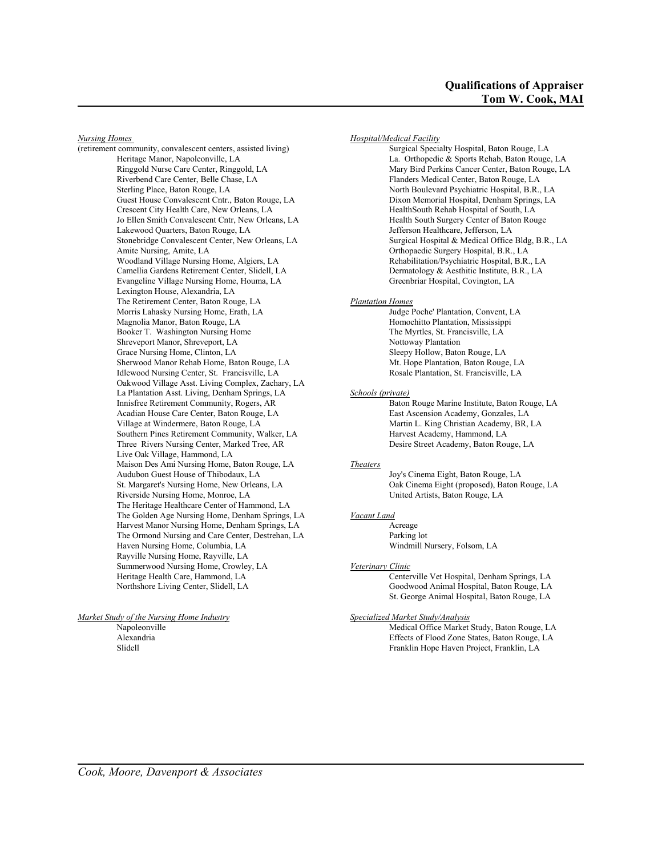*Nursing Homes* 

(retirement community, convalescent centers, assisted living) Heritage Manor, Napoleonville, LA Ringgold Nurse Care Center, Ringgold, LA Riverbend Care Center, Belle Chase, LA Sterling Place, Baton Rouge, LA Guest House Convalescent Cntr., Baton Rouge, LA Crescent City Health Care, New Orleans, LA Jo Ellen Smith Convalescent Cntr, New Orleans, LA Lakewood Quarters, Baton Rouge, LA Stonebridge Convalescent Center, New Orleans, LA Amite Nursing, Amite, LA Woodland Village Nursing Home, Algiers, LA Camellia Gardens Retirement Center, Slidell, LA Evangeline Village Nursing Home, Houma, LA Lexington House, Alexandria, LA The Retirement Center, Baton Rouge, LA Morris Lahasky Nursing Home, Erath, LA Magnolia Manor, Baton Rouge, LA Booker T. Washington Nursing Home Shreveport Manor, Shreveport, LA Grace Nursing Home, Clinton, LA Sherwood Manor Rehab Home, Baton Rouge, LA Idlewood Nursing Center, St. Francisville, LA Oakwood Village Asst. Living Complex, Zachary, LA La Plantation Asst. Living, Denham Springs, LA Innisfree Retirement Community, Rogers, AR Acadian House Care Center, Baton Rouge, LA Village at Windermere, Baton Rouge, LA Southern Pines Retirement Community, Walker, LA Three Rivers Nursing Center, Marked Tree, AR Live Oak Village, Hammond, LA Maison Des Ami Nursing Home, Baton Rouge, LA Audubon Guest House of Thibodaux, LA St. Margaret's Nursing Home, New Orleans, LA Riverside Nursing Home, Monroe, LA The Heritage Healthcare Center of Hammond, LA The Golden Age Nursing Home, Denham Springs, LA Harvest Manor Nursing Home, Denham Springs, LA The Ormond Nursing and Care Center, Destrehan, LA Haven Nursing Home, Columbia, LA Rayville Nursing Home, Rayville, LA Summerwood Nursing Home, Crowley, LA Heritage Health Care, Hammond, LA Northshore Living Center, Slidell, LA

### *Market Study of the Nursing Home Industry*

Napoleonville Alexandria Slidell

*Hospital/Medical Facility*

Surgical Specialty Hospital, Baton Rouge, LA La. Orthopedic & Sports Rehab, Baton Rouge, LA Mary Bird Perkins Cancer Center, Baton Rouge, LA Flanders Medical Center, Baton Rouge, LA North Boulevard Psychiatric Hospital, B.R., LA Dixon Memorial Hospital, Denham Springs, LA HealthSouth Rehab Hospital of South, LA Health South Surgery Center of Baton Rouge Jefferson Healthcare, Jefferson, LA Surgical Hospital & Medical Office Bldg, B.R., LA Orthopaedic Surgery Hospital, B.R., LA Rehabilitation/Psychiatric Hospital, B.R., LA Dermatology & Aesthitic Institute, B.R., LA Greenbriar Hospital, Covington, LA

### *Plantation Homes*

Judge Poche' Plantation, Convent, LA Homochitto Plantation, Mississippi The Myrtles, St. Francisville, LA Nottoway Plantation Sleepy Hollow, Baton Rouge, LA Mt. Hope Plantation, Baton Rouge, LA Rosale Plantation, St. Francisville, LA

*Schools (private)*

Baton Rouge Marine Institute, Baton Rouge, LA East Ascension Academy, Gonzales, LA Martin L. King Christian Academy, BR, LA Harvest Academy, Hammond, LA Desire Street Academy, Baton Rouge, LA

#### *Theaters*

Joy's Cinema Eight, Baton Rouge, LA Oak Cinema Eight (proposed), Baton Rouge, LA United Artists, Baton Rouge, LA

#### *Vacant Land*

Acreage Parking lot Windmill Nursery, Folsom, LA

#### *Veterinary Clinic*

Centerville Vet Hospital, Denham Springs, LA Goodwood Animal Hospital, Baton Rouge, LA St. George Animal Hospital, Baton Rouge, LA

#### *Specialized Market Study/Analysis*

Medical Office Market Study, Baton Rouge, LA Effects of Flood Zone States, Baton Rouge, LA Franklin Hope Haven Project, Franklin, LA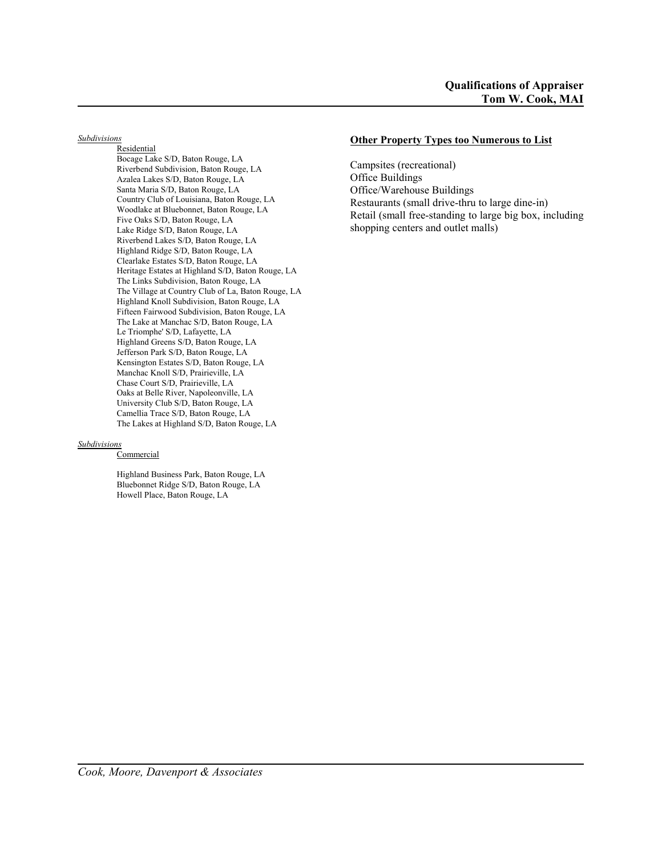*Subdivisions*

**Residential** Bocage Lake S/D, Baton Rouge, LA Riverbend Subdivision, Baton Rouge, LA Azalea Lakes S/D, Baton Rouge, LA Santa Maria S/D, Baton Rouge, LA Country Club of Louisiana, Baton Rouge, LA Woodlake at Bluebonnet, Baton Rouge, LA Five Oaks S/D, Baton Rouge, LA Lake Ridge S/D, Baton Rouge, LA Riverbend Lakes S/D, Baton Rouge, LA Highland Ridge S/D, Baton Rouge, LA Clearlake Estates S/D, Baton Rouge, LA Heritage Estates at Highland S/D, Baton Rouge, LA The Links Subdivision, Baton Rouge, LA The Village at Country Club of La, Baton Rouge, LA Highland Knoll Subdivision, Baton Rouge, LA Fifteen Fairwood Subdivision, Baton Rouge, LA The Lake at Manchac S/D, Baton Rouge, LA Le Triomphe' S/D, Lafayette, LA Highland Greens S/D, Baton Rouge, LA Jefferson Park S/D, Baton Rouge, LA Kensington Estates S/D, Baton Rouge, LA Manchac Knoll S/D, Prairieville, LA Chase Court S/D, Prairieville, LA Oaks at Belle River, Napoleonville, LA University Club S/D, Baton Rouge, LA Camellia Trace S/D, Baton Rouge, LA The Lakes at Highland S/D, Baton Rouge, LA

#### *Subdivisions*

**Commercial** 

Highland Business Park, Baton Rouge, LA Bluebonnet Ridge S/D, Baton Rouge, LA Howell Place, Baton Rouge, LA

### **Other Property Types too Numerous to List**

Campsites (recreational) Office Buildings Office/Warehouse Buildings Restaurants (small drive-thru to large dine-in) Retail (small free-standing to large big box, including shopping centers and outlet malls)